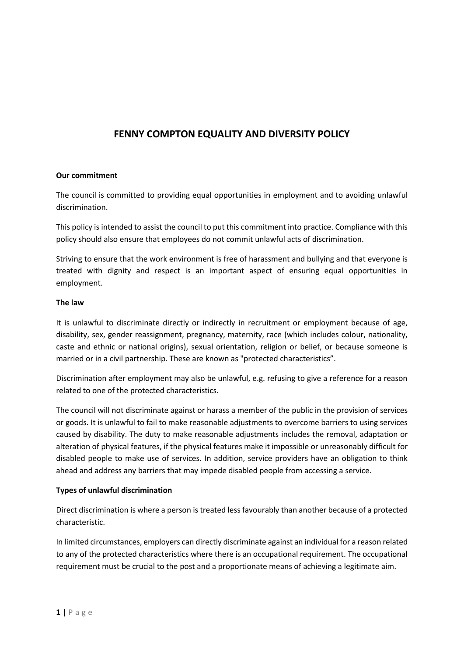# **FENNY COMPTON EQUALITY AND DIVERSITY POLICY**

#### **Our commitment**

The council is committed to providing equal opportunities in employment and to avoiding unlawful discrimination.

This policy is intended to assist the council to put this commitment into practice. Compliance with this policy should also ensure that employees do not commit unlawful acts of discrimination.

Striving to ensure that the work environment is free of harassment and bullying and that everyone is treated with dignity and respect is an important aspect of ensuring equal opportunities in employment.

#### **The law**

It is unlawful to discriminate directly or indirectly in recruitment or employment because of age, disability, sex, gender reassignment, pregnancy, maternity, race (which includes colour, nationality, caste and ethnic or national origins), sexual orientation, religion or belief, or because someone is married or in a civil partnership. These are known as "protected characteristics".

Discrimination after employment may also be unlawful, e.g. refusing to give a reference for a reason related to one of the protected characteristics.

The council will not discriminate against or harass a member of the public in the provision of services or goods. It is unlawful to fail to make reasonable adjustments to overcome barriers to using services caused by disability. The duty to make reasonable adjustments includes the removal, adaptation or alteration of physical features, if the physical features make it impossible or unreasonably difficult for disabled people to make use of services. In addition, service providers have an obligation to think ahead and address any barriers that may impede disabled people from accessing a service.

#### **Types of unlawful discrimination**

Direct discrimination is where a person is treated less favourably than another because of a protected characteristic.

**1 |** P a g e In limited circumstances, employers can directly discriminate against an individual for a reason related to any of the protected characteristics where there is an occupational requirement. The occupational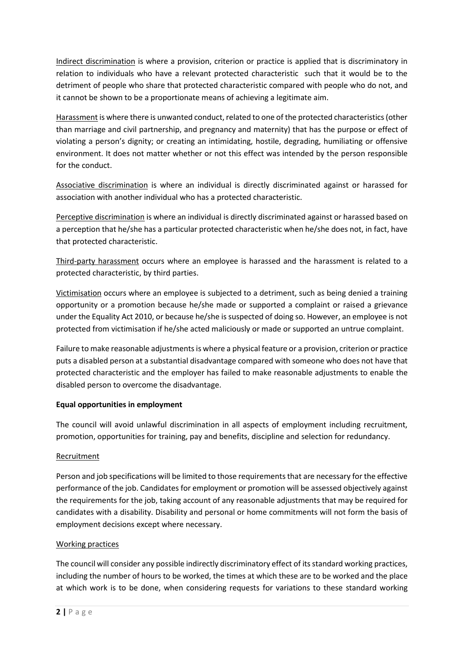Indirect discrimination is where a provision, criterion or practice is applied that is discriminatory in relation to individuals who have a relevant protected characteristic such that it would be to the detriment of people who share that protected characteristic compared with people who do not, and it cannot be shown to be a proportionate means of achieving a legitimate aim.

Harassment is where there is unwanted conduct, related to one of the protected characteristics (other than marriage and civil partnership, and pregnancy and maternity) that has the purpose or effect of violating a person's dignity; or creating an intimidating, hostile, degrading, humiliating or offensive environment. It does not matter whether or not this effect was intended by the person responsible for the conduct.

Associative discrimination is where an individual is directly discriminated against or harassed for association with another individual who has a protected characteristic.

Perceptive discrimination is where an individual is directly discriminated against or harassed based on a perception that he/she has a particular protected characteristic when he/she does not, in fact, have that protected characteristic.

Third-party harassment occurs where an employee is harassed and the harassment is related to a protected characteristic, by third parties.

Victimisation occurs where an employee is subjected to a detriment, such as being denied a training opportunity or a promotion because he/she made or supported a complaint or raised a grievance under the Equality Act 2010, or because he/she is suspected of doing so. However, an employee is not protected from victimisation if he/she acted maliciously or made or supported an untrue complaint.

Failure to make reasonable adjustments is where a physical feature or a provision, criterion or practice puts a disabled person at a substantial disadvantage compared with someone who does not have that protected characteristic and the employer has failed to make reasonable adjustments to enable the disabled person to overcome the disadvantage.

# **Equal opportunities in employment**

The council will avoid unlawful discrimination in all aspects of employment including recruitment, promotion, opportunities for training, pay and benefits, discipline and selection for redundancy.

#### Recruitment

Person and job specifications will be limited to those requirements that are necessary for the effective performance of the job. Candidates for employment or promotion will be assessed objectively against the requirements for the job, taking account of any reasonable adjustments that may be required for candidates with a disability. Disability and personal or home commitments will not form the basis of employment decisions except where necessary.

#### Working practices

The council will consider any possible indirectly discriminatory effect of its standard working practices, including the number of hours to be worked, the times at which these are to be worked and the place at which work i including the number of hours to be worked, the times at which these are to be worked and the place at which work is to be done, when considering requests for variations to these standard working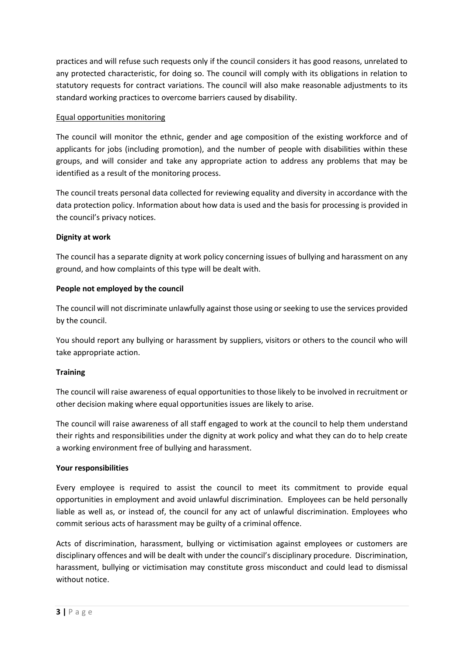practices and will refuse such requests only if the council considers it has good reasons, unrelated to any protected characteristic, for doing so. The council will comply with its obligations in relation to statutory requests for contract variations. The council will also make reasonable adjustments to its standard working practices to overcome barriers caused by disability.

### Equal opportunities monitoring

The council will monitor the ethnic, gender and age composition of the existing workforce and of applicants for jobs (including promotion), and the number of people with disabilities within these groups, and will consider and take any appropriate action to address any problems that may be identified as a result of the monitoring process.

The council treats personal data collected for reviewing equality and diversity in accordance with the data protection policy. Information about how data is used and the basis for processing is provided in the council's privacy notices.

## **Dignity at work**

The council has a separate dignity at work policy concerning issues of bullying and harassment on any ground, and how complaints of this type will be dealt with.

## **People not employed by the council**

The council will not discriminate unlawfully against those using or seeking to use the services provided by the council.

You should report any bullying or harassment by suppliers, visitors or others to the council who will take appropriate action.

#### **Training**

The council will raise awareness of equal opportunities to those likely to be involved in recruitment or other decision making where equal opportunities issues are likely to arise.

The council will raise awareness of all staff engaged to work at the council to help them understand their rights and responsibilities under the dignity at work policy and what they can do to help create a working environment free of bullying and harassment.

#### **Your responsibilities**

Every employee is required to assist the council to meet its commitment to provide equal opportunities in employment and avoid unlawful discrimination. Employees can be held personally liable as well as, or instead of, the council for any act of unlawful discrimination. Employees who commit serious acts of harassment may be guilty of a criminal offence.

**A** P a g e **3** | P a g e Acts of discrimination, harassment, bullying or victimisation against employees or customers are disciplinary offences and will be dealt with under the council's disciplinary procedure. Discrimination, without notice.